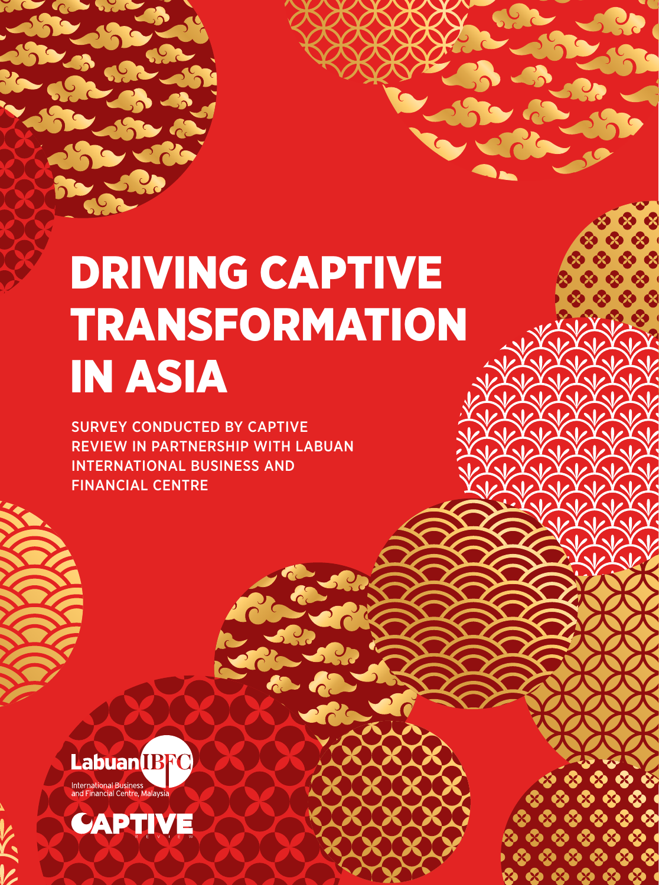# DRIVING CAPTIVE TRANSFORMATION IN ASIA

SURVEY CONDUCTED BY CAPTIVE REVIEW IN PARTNERSHIP WITH LABUAN INTERNATIONAL BUSINESS AND FINANCIAL CENTRE



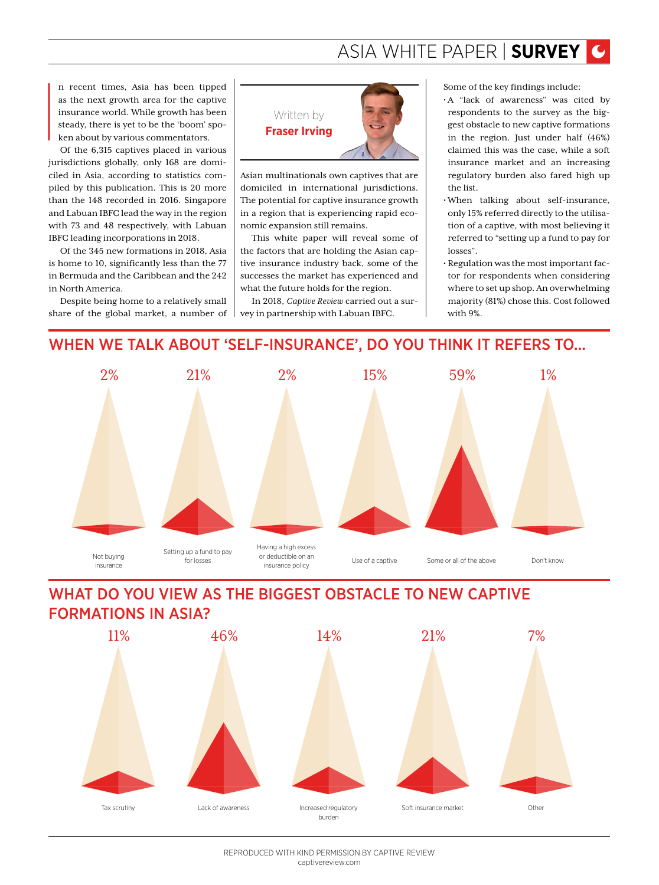# ASIA WHITE PAPER | **SURVEY**

I n recent times, Asia has been tipped as the next growth area for the captive insurance world. While growth has been steady, there is yet to be the 'boom' spoken about by various commentators.

Of the 6,315 captives placed in various jurisdictions globally, only 168 are domiciled in Asia, according to statistics compiled by this publication. This is 20 more than the 148 recorded in 2016. Singapore and Labuan IBFC lead the way in the region with 73 and 48 respectively, with Labuan IBFC leading incorporations in 2018.

Of the 345 new formations in 2018, Asia is home to 10, significantly less than the 77 in Bermuda and the Caribbean and the 242 in North America.

Despite being home to a relatively small share of the global market, a number of



Asian multinationals own captives that are domiciled in international jurisdictions. The potential for captive insurance growth in a region that is experiencing rapid economic expansion still remains.

This white paper will reveal some of the factors that are holding the Asian captive insurance industry back, some of the successes the market has experienced and what the future holds for the region.

In 2018, *Captive Review* carried out a survey in partnership with Labuan IBFC.

Some of the key findings include:

- A "lack of awareness" was cited by respondents to the survey as the biggest obstacle to new captive formations in the region. Just under half (46%) claimed this was the case, while a soft insurance market and an increasing regulatory burden also fared high up the list.
- When talking about self-insurance, only 15% referred directly to the utilisation of a captive, with most believing it referred to "setting up a fund to pay for losses".
- Regulation was the most important factor for respondents when considering where to set up shop. An overwhelming majority (81%) chose this. Cost followed with 9%.

## WHEN WE TALK ABOUT 'SELF-INSURANCE', DO YOU THINK IT REFERS TO...



# WHAT DO YOU VIEW AS THE BIGGEST OBSTACLE TO NEW CAPTIVE FORMATIONS IN ASIA?



REPRODUCED WITH KIND PERMISSION BY CAPTIVE REVIEW captivereview.com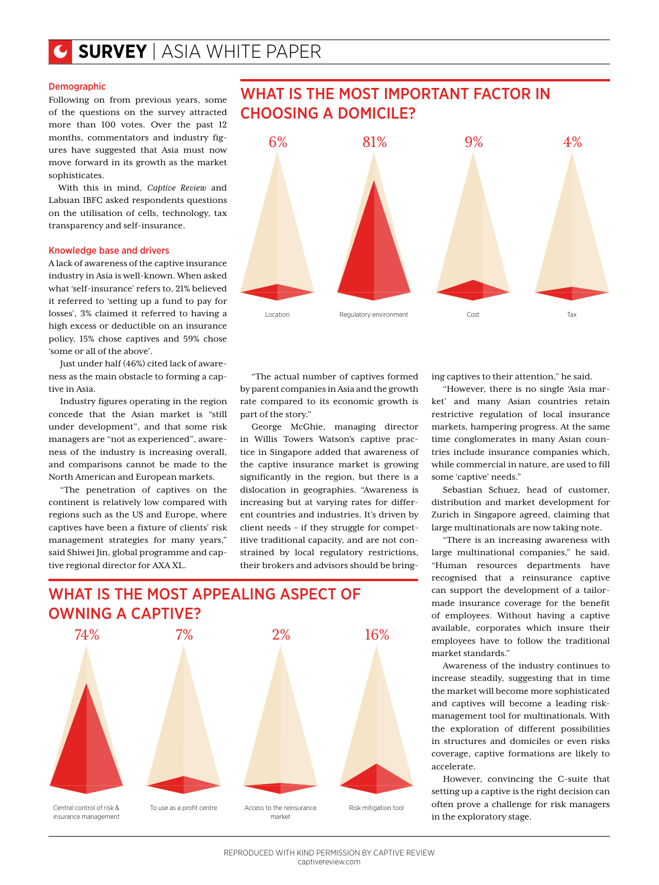#### Demographic

Following on from previous years, some of the questions on the survey attracted more than 100 votes. Over the past 12 months, commentators and industry figures have suggested that Asia must now move forward in its growth as the market sophisticates.

With this in mind, *Captive Review* and Labuan IBFC asked respondents questions on the utilisation of cells, technology, tax transparency and self-insurance.

#### Knowledge base and drivers

A lack of awareness of the captive insurance industry in Asia is well-known. When asked what 'self-insurance' refers to, 21% believed it referred to 'setting up a fund to pay for losses', 3% claimed it referred to having a high excess or deductible on an insurance policy, 15% chose captives and 59% chose 'some or all of the above'.

Just under half (46%) cited lack of awareness as the main obstacle to forming a captive in Asia.

Industry figures operating in the region concede that the Asian market is "still under development", and that some risk managers are "not as experienced", awareness of the industry is increasing overall, and comparisons cannot be made to the North American and European markets.

"The penetration of captives on the continent is relatively low compared with regions such as the US and Europe, where captives have been a fixture of clients' risk management strategies for many years," said Shiwei Jin, global programme and captive regional director for AXA XL.



WHAT IS THE MOST IMPORTANT FACTOR IN

"The actual number of captives formed by parent companies in Asia and the growth rate compared to its economic growth is part of the story."

George McGhie, managing director in Willis Towers Watson's captive practice in Singapore added that awareness of the captive insurance market is growing significantly in the region, but there is a dislocation in geographies. "Awareness is increasing but at varying rates for different countries and industries. It's driven by client needs – if they struggle for competitive traditional capacity, and are not constrained by local regulatory restrictions, their brokers and advisors should be bring-

# WHAT IS THE MOST APPEALING ASPECT OF OWNING A CAPTIVE?



ing captives to their attention," he said.

"However, there is no single 'Asia market' and many Asian countries retain restrictive regulation of local insurance markets, hampering progress. At the same time conglomerates in many Asian countries include insurance companies which, while commercial in nature, are used to fill some 'captive' needs."

Sebastian Schuez, head of customer, distribution and market development for Zurich in Singapore agreed, claiming that large multinationals are now taking note.

"There is an increasing awareness with large multinational companies," he said. "Human resources departments have recognised that a reinsurance captive can support the development of a tailormade insurance coverage for the benefit of employees. Without having a captive available, corporates which insure their employees have to follow the traditional market standards."

Awareness of the industry continues to increase steadily, suggesting that in time the market will become more sophisticated and captives will become a leading riskmanagement tool for multinationals. With the exploration of different possibilities in structures and domiciles or even risks coverage, captive formations are likely to accelerate.

However, convincing the C-suite that setting up a captive is the right decision can often prove a challenge for risk managers in the exploratory stage.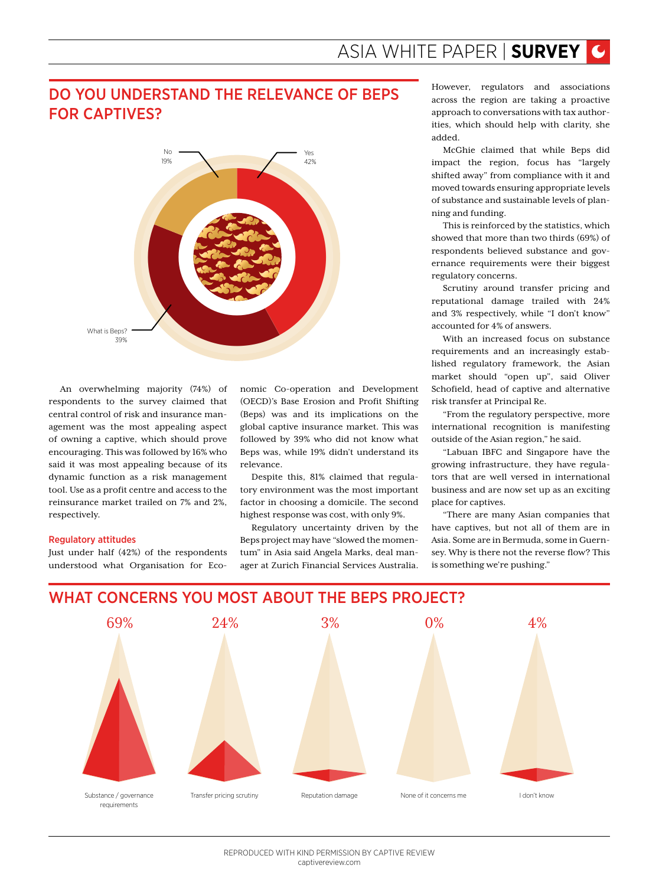# DO YOU UNDERSTAND THE RELEVANCE OF BEPS FOR CAPTIVES?



An overwhelming majority (74%) of respondents to the survey claimed that central control of risk and insurance management was the most appealing aspect of owning a captive, which should prove encouraging. This was followed by 16% who said it was most appealing because of its dynamic function as a risk management tool. Use as a profit centre and access to the reinsurance market trailed on 7% and 2%, respectively.

#### Regulatory attitudes

Just under half (42%) of the respondents understood what Organisation for Eco-

nomic Co-operation and Development (OECD)'s Base Erosion and Profit Shifting (Beps) was and its implications on the global captive insurance market. This was followed by 39% who did not know what Beps was, while 19% didn't understand its relevance.

Despite this, 81% claimed that regulatory environment was the most important factor in choosing a domicile. The second highest response was cost, with only 9%.

Regulatory uncertainty driven by the Beps project may have "slowed the momentum" in Asia said Angela Marks, deal manager at Zurich Financial Services Australia.

However, regulators and associations across the region are taking a proactive approach to conversations with tax authorities, which should help with clarity, she added.

McGhie claimed that while Beps did impact the region, focus has "largely shifted away" from compliance with it and moved towards ensuring appropriate levels of substance and sustainable levels of planning and funding.

This is reinforced by the statistics, which showed that more than two thirds (69%) of respondents believed substance and governance requirements were their biggest regulatory concerns.

Scrutiny around transfer pricing and reputational damage trailed with 24% and 3% respectively, while "I don't know" accounted for 4% of answers.

With an increased focus on substance requirements and an increasingly established regulatory framework, the Asian market should "open up", said Oliver Schofield, head of captive and alternative risk transfer at Principal Re.

"From the regulatory perspective, more international recognition is manifesting outside of the Asian region," he said.

"Labuan IBFC and Singapore have the growing infrastructure, they have regulators that are well versed in international business and are now set up as an exciting place for captives.

"There are many Asian companies that have captives, but not all of them are in Asia. Some are in Bermuda, some in Guernsey. Why is there not the reverse flow? This is something we're pushing."



## WHAT CONCERNS YOU MOST ABOUT THE BEPS PROJECT?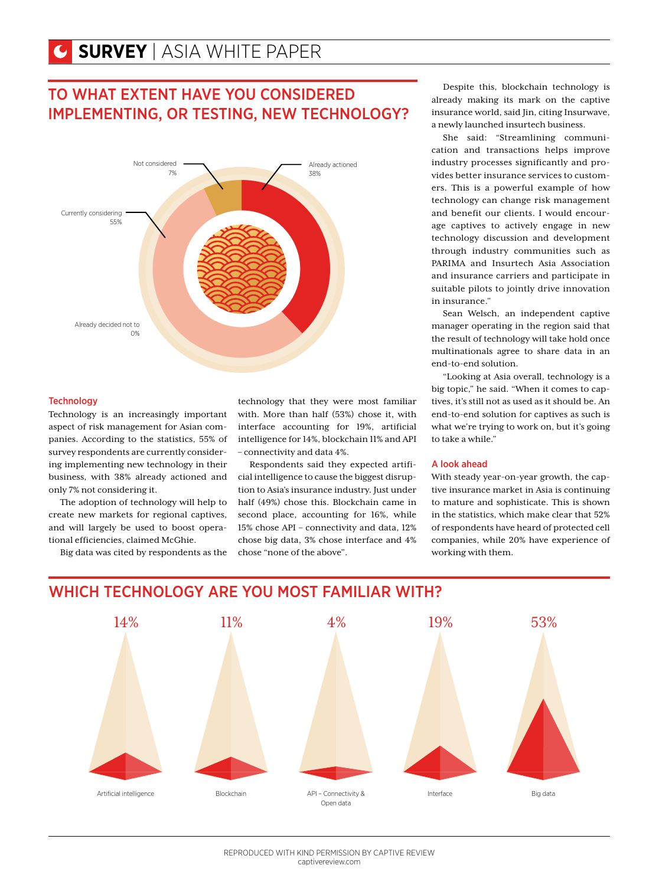# TO WHAT EXTENT HAVE YOU CONSIDERED IMPLEMENTING, OR TESTING, NEW TECHNOLOGY?



#### **Technology**

Technology is an increasingly important aspect of risk management for Asian companies. According to the statistics, 55% of survey respondents are currently considering implementing new technology in their business, with 38% already actioned and only 7% not considering it.

The adoption of technology will help to create new markets for regional captives, and will largely be used to boost operational efficiencies, claimed McGhie.

Big data was cited by respondents as the

technology that they were most familiar with. More than half (53%) chose it, with interface accounting for 19%, artificial intelligence for 14%, blockchain 11% and API – connectivity and data 4%.

Respondents said they expected artificial intelligence to cause the biggest disruption to Asia's insurance industry. Just under half (49%) chose this. Blockchain came in second place, accounting for 16%, while 15% chose API – connectivity and data, 12% chose big data, 3% chose interface and 4% chose "none of the above".

Despite this, blockchain technology is already making its mark on the captive insurance world, said Jin, citing Insurwave, a newly launched insurtech business.

She said: "Streamlining communication and transactions helps improve industry processes significantly and provides better insurance services to customers. This is a powerful example of how technology can change risk management and benefit our clients. I would encourage captives to actively engage in new technology discussion and development through industry communities such as PARIMA and Insurtech Asia Association and insurance carriers and participate in suitable pilots to jointly drive innovation in insurance."

Sean Welsch, an independent captive manager operating in the region said that the result of technology will take hold once multinationals agree to share data in an end-to-end solution.

"Looking at Asia overall, technology is a big topic," he said. "When it comes to captives, it's still not as used as it should be. An end-to-end solution for captives as such is what we're trying to work on, but it's going to take a while."

#### A look ahead

With steady year-on-year growth, the captive insurance market in Asia is continuing to mature and sophisticate. This is shown in the statistics, which make clear that 52% of respondents have heard of protected cell companies, while 20% have experience of working with them.



## WHICH TECHNOLOGY ARE YOU MOST FAMILIAR WITH?